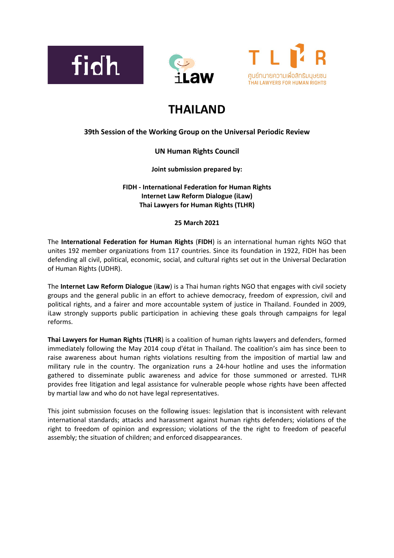





# **THAILAND**

# **39th Session of the Working Group on the Universal Periodic Review**

# **UN Human Rights Council**

**Joint submission prepared by:**

**FIDH - International Federation for Human Rights Internet Law Reform Dialogue (iLaw) Thai Lawyers for Human Rights (TLHR)**

# **25 March 2021**

The **International Federation for Human Rights** (**FIDH**) is an international human rights NGO that unites 192 member organizations from 117 countries. Since its foundation in 1922, FIDH has been defending all civil, political, economic, social, and cultural rights set out in the Universal Declaration of Human Rights (UDHR).

The **Internet Law Reform Dialogue** (**iLaw**) is <sup>a</sup> Thai human rights NGO that engages with civil society groups and the general public in an effort to achieve democracy, freedom of expression, civil and political rights, and <sup>a</sup> fairer and more accountable system of justice in Thailand. Founded in 2009, iLaw strongly supports public participation in achieving these goals through campaigns for legal reforms.

**Thai Lawyers for Human Rights** (**TLHR**) is <sup>a</sup> coalition of human rights lawyers and defenders, formed immediately following the May 2014 coup d'état in Thailand. The coalition'<sup>s</sup> aim has since been to raise awareness about human rights violations resulting from the imposition of martial law and military rule in the country. The organization runs <sup>a</sup> 24-hour hotline and uses the information gathered to disseminate public awareness and advice for those summoned or arrested. TLHR provides free litigation and legal assistance for vulnerable people whose rights have been affected by martial law and who do not have legal representatives.

This joint submission focuses on the following issues: legislation that is inconsistent with relevant international standards; attacks and harassment against human rights defenders; violations of the right to freedom of opinion and expression; violations of the the right to freedom of peaceful assembly; the situation of children; and enforced disappearances.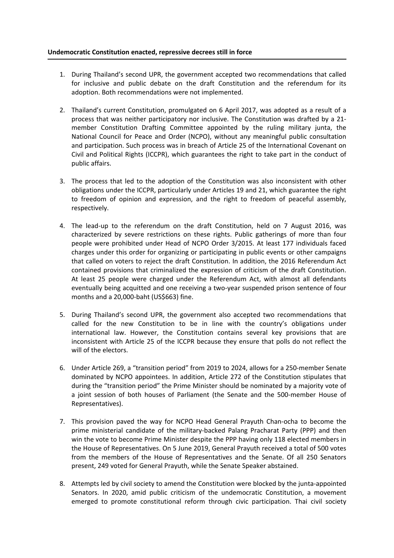# **Undemocratic Constitution enacted, repressive decrees still in force**

- 1. During Thailand'<sup>s</sup> second UPR, the government accepted two recommendations that called for inclusive and public debate on the draft Constitution and the referendum for its adoption. Both recommendations were not implemented.
- 2. Thailand'<sup>s</sup> current Constitution, promulgated on 6 April 2017, was adopted as <sup>a</sup> result of <sup>a</sup> process that was neither participatory nor inclusive. The Constitution was drafted by <sup>a</sup> 21 member Constitution Drafting Committee appointed by the ruling military junta, the National Council for Peace and Order (NCPO), without any meaningful public consultation and participation. Such process was in breach of Article 25 of the International Covenant on Civil and Political Rights (ICCPR), which guarantees the right to take part in the conduct of public affairs.
- 3. The process that led to the adoption of the Constitution was also inconsistent with other obligations under the ICCPR, particularly under Articles 19 and 21, which guarantee the right to freedom of opinion and expression, and the right to freedom of peaceful assembly, respectively.
- 4. The lead-up to the referendum on the draft Constitution, held on 7 August 2016, was characterized by severe restrictions on these rights. Public gatherings of more than four people were prohibited under Head of NCPO Order 3/2015. At least 177 individuals faced charges under this order for organizing or participating in public events or other campaigns that called on voters to reject the draft Constitution. In addition, the 2016 Referendum Act contained provisions that criminalized the expression of criticism of the draft Constitution. At least 25 people were charged under the Referendum Act, with almost all defendants eventually being acquitted and one receiving <sup>a</sup> two-year suspended prison sentence of four months and <sup>a</sup> 20,000-baht (US\$663) fine.
- 5. During Thailand'<sup>s</sup> second UPR, the government also accepted two recommendations that called for the new Constitution to be in line with the country'<sup>s</sup> obligations under international law. However, the Constitution contains several key provisions that are inconsistent with Article 25 of the ICCPR because they ensure that polls do not reflect the will of the electors.
- 6. Under Article 269, <sup>a</sup> "transition period" from 2019 to 2024, allows for <sup>a</sup> 250-member Senate dominated by NCPO appointees. In addition, Article 272 of the Constitution stipulates that during the "transition period" the Prime Minister should be nominated by <sup>a</sup> majority vote of <sup>a</sup> joint session of both houses of Parliament (the Senate and the 500-member House of Representatives).
- 7. This provision paved the way for NCPO Head General Prayuth Chan-ocha to become the prime ministerial candidate of the military-backed Palang Pracharat Party (PPP) and then win the vote to become Prime Minister despite the PPP having only 118 elected members in the House of Representatives. On 5 June 2019, General Prayuth received <sup>a</sup> total of 500 votes from the members of the House of Representatives and the Senate. Of all 250 Senators present, 249 voted for General Prayuth, while the Senate Speaker abstained.
- 8. Attempts led by civil society to amend the Constitution were blocked by the junta-appointed Senators. In 2020, amid public criticism of the undemocratic Constitution, <sup>a</sup> movement emerged to promote constitutional reform through civic participation. Thai civil society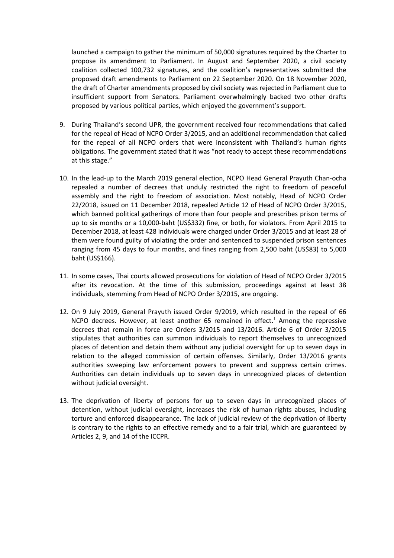launched <sup>a</sup> campaign to gather the minimum of 50,000 signatures required by the Charter to propose its amendment to Parliament. In August and September 2020, <sup>a</sup> civil society coalition collected 100,732 signatures, and the coalition'<sup>s</sup> representatives submitted the proposed draft amendments to Parliament on 22 September 2020. On 18 November 2020, the draft of Charter amendments proposed by civil society was rejected in Parliament due to insufficient support from Senators. Parliament overwhelmingly backed two other drafts proposed by various political parties, which enjoyed the government'<sup>s</sup> support.

- 9. During Thailand'<sup>s</sup> second UPR, the government received four recommendations that called for the repeal of Head of NCPO Order 3/2015, and an additional recommendation that called for the repeal of all NCPO orders that were inconsistent with Thailand'<sup>s</sup> human rights obligations. The government stated that it was "not ready to accept these recommendations at this stage."
- 10. In the lead-up to the March 2019 general election, NCPO Head General Prayuth Chan-ocha repealed <sup>a</sup> number of decrees that unduly restricted the right to freedom of peaceful assembly and the right to freedom of association. Most notably, Head of NCPO Order 22/2018, issued on 11 December 2018, repealed Article 12 of Head of NCPO Order 3/2015, which banned political gatherings of more than four people and prescribes prison terms of up to six months or <sup>a</sup> 10,000-baht (US\$332) fine, or both, for violators. From April 2015 to December 2018, at least 428 individuals were charged under Order 3/2015 and at least 28 of them were found guilty of violating the order and sentenced to suspended prison sentences ranging from <sup>45</sup> days to four months, and fines ranging from 2,500 baht (US\$83) to 5,000 baht (US\$166).
- 11. In some cases, Thai courts allowed prosecutions for violation of Head of NCPO Order 3/2015 after its revocation. At the time of this submission, proceedings against at least 38 individuals, stemming from Head of NCPO Order 3/2015, are ongoing.
- 12. On 9 July 2019, General Prayuth issued Order 9/2019, which resulted in the repeal of 66 NCPO decrees. However, at least another 65 remained in effect.<sup>1</sup> Among the repressive decrees that remain in force are Orders 3/2015 and 13/2016. Article 6 of Order 3/2015 stipulates that authorities can summon individuals to report themselves to unrecognized places of detention and detain them without any judicial oversight for up to seven days in relation to the alleged commission of certain offenses. Similarly, Order 13/2016 grants authorities sweeping law enforcement powers to prevent and suppress certain crimes. Authorities can detain individuals up to seven days in unrecognized places of detention without judicial oversight.
- 13. The deprivation of liberty of persons for up to seven days in unrecognized places of detention, without judicial oversight, increases the risk of human rights abuses, including torture and enforced disappearance. The lack of judicial review of the deprivation of liberty is contrary to the rights to an effective remedy and to <sup>a</sup> fair trial, which are guaranteed by Articles 2, 9, and 14 of the ICCPR.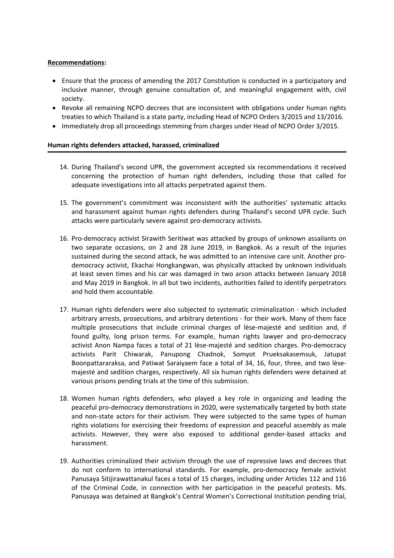# **Recommendations:**

- $\bullet$  Ensure that the process of amending the 2017 Constitution is conducted in <sup>a</sup> participatory and inclusive manner, through genuine consultation of, and meaningful engagement with, civil society.
- Revoke all remaining NCPO decrees that are inconsistent with obligations under human rights treaties to which Thailand is <sup>a</sup> state party, including Head of NCPO Orders 3/2015 and 13/2016.
- Immediately drop all proceedings stemming from charges under Head of NCPO Order 3/2015.

# **Human rights defenders attacked, harassed, criminalized**

- 14. During Thailand'<sup>s</sup> second UPR, the government accepted six recommendations it received concerning the protection of human right defenders, including those that called for adequate investigations into all attacks perpetrated against them.
- 15. The government'<sup>s</sup> commitment was inconsistent with the authorities' systematic attacks and harassment against human rights defenders during Thailand'<sup>s</sup> second UPR cycle. Such attacks were particularly severe against pro-democracy activists.
- 16. Pro-democracy activist Sirawith Seritiwat was attacked by groups of unknown assailants on two separate occasions, on 2 and 28 June 2019, in Bangkok. As <sup>a</sup> result of the injuries sustained during the second attack, he was admitted to an intensive care unit. Another prodemocracy activist, Ekachai Hongkangwan, was physically attacked by unknown individuals at least seven times and his car was damaged in two arson attacks between January 2018 and May 2019 in Bangkok. In all but two incidents, authorities failed to identify perpetrators and hold them accountable.
- 17. Human rights defenders were also subjected to systematic criminalization which included arbitrary arrests, prosecutions, and arbitrary detentions - for their work. Many of them face multiple prosecutions that include criminal charges of lèse-majesté and sedition and, if found guilty, long prison terms. For example, human rights lawyer and pro-democracy activist Anon Nampa faces <sup>a</sup> total of 21 lèse-majesté and sedition charges. Pro-democracy activists Parit Chiwarak, Panupong Chadnok, Somyot Prueksakasemsuk, Jatupat Boonpattararaksa, and Patiwat Saraiyaem face <sup>a</sup> total of 34, 16, four, three, and two lèsemajesté and sedition charges, respectively. All six human rights defenders were detained at various prisons pending trials at the time of this submission.
- 18. Women human rights defenders, who played <sup>a</sup> key role in organizing and leading the peaceful pro-democracy demonstrations in 2020, were systematically targeted by both state and non-state actors for their activism. They were subjected to the same types of human rights violations for exercising their freedoms of expression and peaceful assembly as male activists. However, they were also exposed to additional gender-based attacks and harassment.
- 19. Authorities criminalized their activism through the use of repressive laws and decrees that do not conform to international standards. For example, pro-democracy female activist Panusaya Sitijirawattanakul faces <sup>a</sup> total of 15 charges, including under Articles 112 and 116 of the Criminal Code, in connection with her participation in the peaceful protests. Ms. Panusaya was detained at Bangkok'<sup>s</sup> Central Women'<sup>s</sup> Correctional Institution pending trial,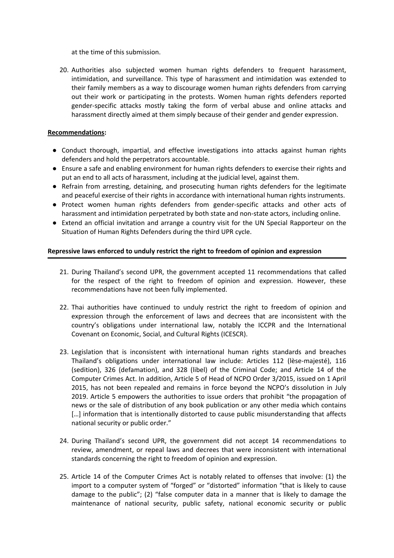at the time of this submission.

20. Authorities also subjected women human rights defenders to frequent harassment, intimidation, and surveillance. This type of harassment and intimidation was extended to their family members as <sup>a</sup> way to discourage women human rights defenders from carrying out their work or participating in the protests. Women human rights defenders reported gender-specific attacks mostly taking the form of verbal abuse and online attacks and harassment directly aimed at them simply because of their gender and gender expression.

# **Recommendations:**

- Conduct thorough, impartial, and effective investigations into attacks against human rights defenders and hold the perpetrators accountable.
- Ensure <sup>a</sup> safe and enabling environment for human rights defenders to exercise their rights and put an end to all acts of harassment, including at the judicial level, against them.
- Refrain from arresting, detaining, and prosecuting human rights defenders for the legitimate and peaceful exercise of their rights in accordance with international human rights instruments.
- Protect women human rights defenders from gender-specific attacks and other acts of harassment and intimidation perpetrated by both state and non-state actors, including online.
- Extend an official invitation and arrange <sup>a</sup> country visit for the UN Special Rapporteur on the Situation of Human Rights Defenders during the third UPR cycle.

# **Repressive laws enforced to unduly restrict the right to freedom of opinion and expression**

- 21. During Thailand'<sup>s</sup> second UPR, the government accepted 11 recommendations that called for the respect of the right to freedom of opinion and expression. However, these recommendations have not been fully implemented.
- 22. Thai authorities have continued to unduly restrict the right to freedom of opinion and expression through the enforcement of laws and decrees that are inconsistent with the country'<sup>s</sup> obligations under international law, notably the ICCPR and the International Covenant on Economic, Social, and Cultural Rights (ICESCR).
- 23. Legislation that is inconsistent with international human rights standards and breaches Thailand'<sup>s</sup> obligations under international law include: Articles 112 (lèse-majesté), 116 (sedition), 326 (defamation), and 328 (libel) of the Criminal Code; and Article 14 of the Computer Crimes Act. In addition, Article 5 of Head of NCPO Order 3/2015, issued on 1 April 2015, has not been repealed and remains in force beyond the NCPO'<sup>s</sup> dissolution in July 2019. Article 5 empowers the authorities to issue orders that prohibit "the propagation of news or the sale of distribution of any book publication or any other media which contains [...] information that is intentionally distorted to cause public misunderstanding that affects national security or public order."
- 24. During Thailand'<sup>s</sup> second UPR, the government did not accept 14 recommendations to review, amendment, or repeal laws and decrees that were inconsistent with international standards concerning the right to freedom of opinion and expression.
- 25. Article 14 of the Computer Crimes Act is notably related to offenses that involve: (1) the import to <sup>a</sup> computer system of "forged" or "distorted" information "that is likely to cause damage to the public"; (2) "false computer data in <sup>a</sup> manner that is likely to damage the maintenance of national security, public safety, national economic security or public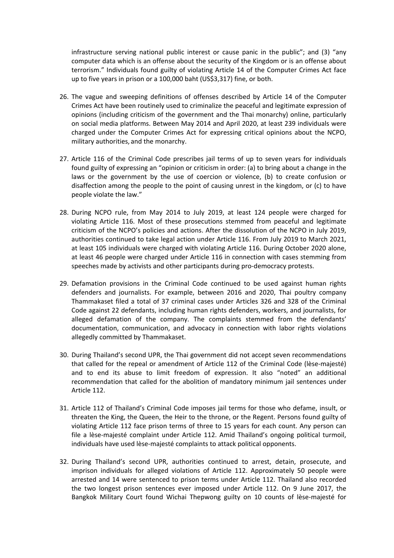infrastructure serving national public interest or cause panic in the public"; and (3) "any computer data which is an offense about the security of the Kingdom or is an offense about terrorism." Individuals found guilty of violating Article 14 of the Computer Crimes Act face up to five years in prison or <sup>a</sup> 100,000 baht (US\$3,317) fine, or both.

- 26. The vague and sweeping definitions of offenses described by Article 14 of the Computer Crimes Act have been routinely used to criminalize the peaceful and legitimate expression of opinions (including criticism of the government and the Thai monarchy) online, particularly on social media platforms. Between May 2014 and April 2020, at least 239 individuals were charged under the Computer Crimes Act for expressing critical opinions about the NCPO, military authorities, and the monarchy.
- 27. Article 116 of the Criminal Code prescribes jail terms of up to seven years for individuals found guilty of expressing an "opinion or criticism in order: (a) to bring about <sup>a</sup> change in the laws or the government by the use of coercion or violence, (b) to create confusion or disaffection among the people to the point of causing unrest in the kingdom, or (c) to have people violate the law."
- 28. During NCPO rule, from May 2014 to July 2019, at least 124 people were charged for violating Article 116. Most of these prosecutions stemmed from peaceful and legitimate criticism of the NCPO'<sup>s</sup> policies and actions. After the dissolution of the NCPO in July 2019, authorities continued to take legal action under Article 116. From July 2019 to March 2021, at least 105 individuals were charged with violating Article 116. During October 2020 alone, at least 46 people were charged under Article 116 in connection with cases stemming from speeches made by activists and other participants during pro-democracy protests.
- 29. Defamation provisions in the Criminal Code continued to be used against human rights defenders and journalists. For example, between 2016 and 2020, Thai poultry company Thammakaset filed <sup>a</sup> total of 37 criminal cases under Articles 326 and 328 of the Criminal Code against 22 defendants, including human rights defenders, workers, and journalists, for alleged defamation of the company. The complaints stemmed from the defendants' documentation, communication, and advocacy in connection with labor rights violations allegedly committed by Thammakaset.
- 30. During Thailand'<sup>s</sup> second UPR, the Thai government did not accept seven recommendations that called for the repeal or amendment of Article 112 of the Criminal Code (lèse-majesté) and to end its abuse to limit freedom of expression. It also "noted" an additional recommendation that called for the abolition of mandatory minimum jail sentences under Article 112.
- 31. Article 112 of Thailand'<sup>s</sup> Criminal Code imposes jail terms for those who defame, insult, or threaten the King, the Queen, the Heir to the throne, or the Regent. Persons found guilty of violating Article 112 face prison terms of three to 15 years for each count. Any person can file <sup>a</sup> lèse-majesté complaint under Article 112. Amid Thailand'<sup>s</sup> ongoing political turmoil, individuals have used lèse-majesté complaints to attack political opponents.
- 32. During Thailand'<sup>s</sup> second UPR, authorities continued to arrest, detain, prosecute, and imprison individuals for alleged violations of Article 112. Approximately 50 people were arrested and 14 were sentenced to prison terms under Article 112. Thailand also recorded the two longest prison sentences ever imposed under Article 112. On 9 June 2017, the Bangkok Military Court found Wichai Thepwong guilty on 10 counts of lèse-majesté for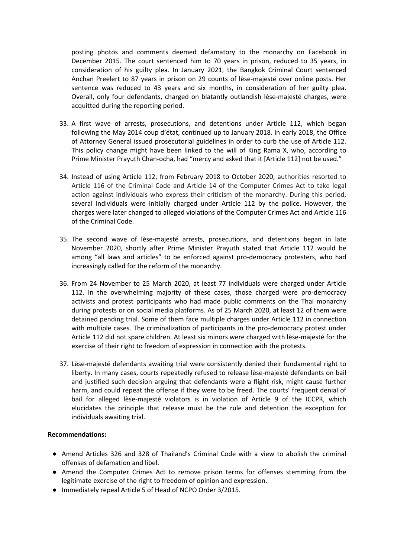posting photos and comments deemed defamatory to the monarchy on Facebook in December 2015. The court sentenced him to 70 years in prison, reduced to 35 years, in consideration of his guilty plea. In January 2021, the Bangkok Criminal Court sentenced Anchan Preelert to 87 years in prison on 29 counts of lèse-majesté over online posts. Her sentence was reduced to 43 years and six months, in consideration of her guilty plea. Overall, only four defendants, charged on blatantly outlandish lèse-majesté charges, were acquitted during the reporting period.

- 33. A first wave of arrests, prosecutions, and detentions under Article 112, which began following the May 2014 coup d'état, continued up to January 2018. In early 2018, the Office of Attorney General issued prosecutorial guidelines in order to curb the use of Article 112. This policy change might have been linked to the will of King Rama X, who, according to Prime Minister Prayuth Chan-ocha, had "mercy and asked that it [Article 112] not be used."
- 34. Instead of using Article 112, from February 2018 to October 2020, authorities resorted to Article 116 of the Criminal Code and Article 14 of the Computer Crimes Act to take legal action against individuals who express their criticism of the monarchy. During this period, several individuals were initially charged under Article 112 by the police. However, the charges were later changed to alleged violations of the Computer Crimes Act and Article 116 of the Criminal Code.
- 35. The second wave of lèse-majesté arrests, prosecutions, and detentions began in late November 2020, shortly after Prime Minister Prayuth stated that Article 112 would be among "all laws and articles" to be enforced against pro-democracy protesters, who had increasingly called for the reform of the monarchy.
- 36. From 24 November to 25 March 2020, at least 77 individuals were charged under Article 112. In the overwhelming majority of these cases, those charged were pro-democracy activists and protest participants who had made public comments on the Thai monarchy during protests or on social media platforms. As of 25 March 2020, at least 12 of them were detained pending trial. Some of them face multiple charges under Article 112 in connection with multiple cases. The criminalization of participants in the pro-democracy protest under Article 112 did not spare children. At least six minors were charged with lèse-majesté for the exercise of their right to freedom of expression in connection with the protests.
- 37. Lèse-majesté defendants awaiting trial were consistently denied their fundamental right to liberty. In many cases, courts repeatedly refused to release lèse-majesté defendants on bail and justified such decision arguing that defendants were <sup>a</sup> flight risk, might cause further harm, and could repeat the offense if they were to be freed. The courts' frequent denial of bail for alleged lèse-majesté violators is in violation of Article 9 of the ICCPR, which elucidates the principle that release must be the rule and detention the exception for individuals awaiting trial.

# **Recommendations:**

- Amend Articles 326 and 328 of Thailand'<sup>s</sup> Criminal Code with <sup>a</sup> view to abolish the criminal offenses of defamation and libel.
- Amend the Computer Crimes Act to remove prison terms for offenses stemming from the legitimate exercise of the right to freedom of opinion and expression.
- Immediately repeal Article 5 of Head of NCPO Order 3/2015.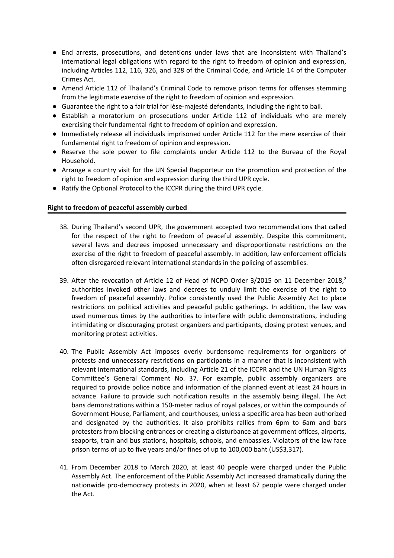- End arrests, prosecutions, and detentions under laws that are inconsistent with Thailand'<sup>s</sup> international legal obligations with regard to the right to freedom of opinion and expression, including Articles 112, 116, 326, and 328 of the Criminal Code, and Article 14 of the Computer Crimes Act.
- Amend Article 112 of Thailand'<sup>s</sup> Criminal Code to remove prison terms for offenses stemming from the legitimate exercise of the right to freedom of opinion and expression.
- Guarantee the right to a fair trial for lèse-majesté defendants, including the right to bail.
- Establish <sup>a</sup> moratorium on prosecutions under Article 112 of individuals who are merely exercising their fundamental right to freedom of opinion and expression.
- Immediately release all individuals imprisoned under Article 112 for the mere exercise of their fundamental right to freedom of opinion and expression.
- Reserve the sole power to file complaints under Article 112 to the Bureau of the Royal Household.
- Arrange <sup>a</sup> country visit for the UN Special Rapporteur on the promotion and protection of the right to freedom of opinion and expression during the third UPR cycle.
- Ratify the Optional Protocol to the ICCPR during the third UPR cycle.

# **Right to freedom of peaceful assembly curbed**

- 38. During Thailand'<sup>s</sup> second UPR, the government accepted two recommendations that called for the respect of the right to freedom of peaceful assembly. Despite this commitment, several laws and decrees imposed unnecessary and disproportionate restrictions on the exercise of the right to freedom of peaceful assembly. In addition, law enforcement officials often disregarded relevant international standards in the policing of assemblies.
- 39. After the revocation of Article 12 of Head of NCPO Order 3/2015 on 11 December 2018,<sup>2</sup> authorities invoked other laws and decrees to unduly limit the exercise of the right to freedom of peaceful assembly. Police consistently used the Public Assembly Act to place restrictions on political activities and peaceful public gatherings. In addition, the law was used numerous times by the authorities to interfere with public demonstrations, including intimidating or discouraging protest organizers and participants, closing protest venues, and monitoring protest activities.
- 40. The Public Assembly Act imposes overly burdensome requirements for organizers of protests and unnecessary restrictions on participants in <sup>a</sup> manner that is inconsistent with relevant international standards, including Article 21 of the ICCPR and the UN Human Rights Committee'<sup>s</sup> General Comment No. 37. For example, public assembly organizers are required to provide police notice and information of the planned event at least 24 hours in advance. Failure to provide such notification results in the assembly being illegal. The Act bans demonstrations within <sup>a</sup> 150-meter radius of royal palaces, or within the compounds of Government House, Parliament, and courthouses, unless <sup>a</sup> specific area has been authorized and designated by the authorities. It also prohibits rallies from 6pm to 6am and bars protesters from blocking entrances or creating <sup>a</sup> disturbance at government offices, airports, seaports, train and bus stations, hospitals, schools, and embassies. Violators of the law face prison terms of up to five years and/or fines of up to 100,000 baht (US\$3,317).
- 41. From December 2018 to March 2020, at least 40 people were charged under the Public Assembly Act. The enforcement of the Public Assembly Act increased dramatically during the nationwide pro-democracy protests in 2020, when at least 67 people were charged under the Act.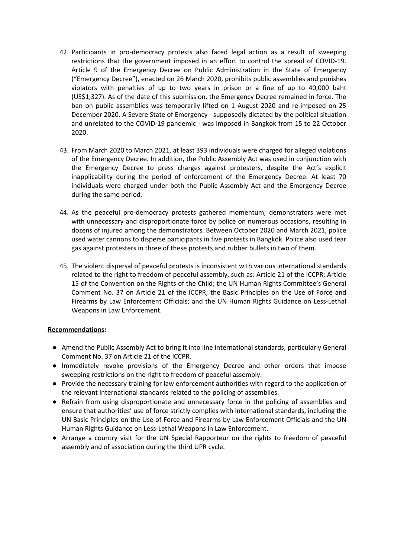- 42. Participants in pro-democracy protests also faced legal action as <sup>a</sup> result of sweeping restrictions that the government imposed in an effort to control the spread of COVID-19. Article 9 of the Emergency Decree on Public Administration in the State of Emergency ("Emergency Decree"), enacted on 26 March 2020, prohibits public assemblies and punishes violators with penalties of up to two years in prison or <sup>a</sup> fine of up to 40,000 baht (US\$1,327). As of the date of this submission, the Emergency Decree remained in force. The ban on public assemblies was temporarily lifted on 1 August 2020 and re-imposed on 25 December 2020. A Severe State of Emergency - supposedly dictated by the political situation and unrelated to the COVID-19 pandemic - was imposed in Bangkok from 15 to 22 October 2020.
- 43. From March 2020 to March 2021, at least 393 individuals were charged for alleged violations of the Emergency Decree. In addition, the Public Assembly Act was used in conjunction with the Emergency Decree to press charges against protesters, despite the Act'<sup>s</sup> explicit inapplicability during the period of enforcement of the Emergency Decree. At least 70 individuals were charged under both the Public Assembly Act and the Emergency Decree during the same period.
- 44. As the peaceful pro-democracy protests gathered momentum, demonstrators were met with unnecessary and disproportionate force by police on numerous occasions, resulting in dozens of injured among the demonstrators. Between October 2020 and March 2021, police used water cannons to disperse participants in five protests in Bangkok. Police also used tear gas against protesters in three of these protests and rubber bullets in two of them.
- 45. The violent dispersal of peaceful protests is inconsistent with various international standards related to the right to freedom of peaceful assembly, such as: Article 21 of the ICCPR; Article 15 of the Convention on the Rights of the Child; the UN Human Rights Committee'<sup>s</sup> General Comment No. 37 on Article 21 of the ICCPR; the Basic Principles on the Use of Force and Firearms by Law Enforcement Officials; and the UN Human Rights Guidance on Less-Lethal Weapons in Law Enforcement.

# **Recommendations:**

- Amend the Public Assembly Act to bring it into line international standards, particularly General Comment No. 37 on Article 21 of the ICCPR.
- Immediately revoke provisions of the Emergency Decree and other orders that impose sweeping restrictions on the right to freedom of peaceful assembly.
- Provide the necessary training for law enforcement authorities with regard to the application of the relevant international standards related to the policing of assemblies.
- Refrain from using disproportionate and unnecessary force in the policing of assemblies and ensure that authorities' use of force strictly complies with international standards, including the UN Basic Principles on the Use of Force and Firearms by Law Enforcement Officials and the UN Human Rights Guidance on Less-Lethal Weapons in Law Enforcement.
- Arrange <sup>a</sup> country visit for the UN Special Rapporteur on the rights to freedom of peaceful assembly and of association during the third UPR cycle.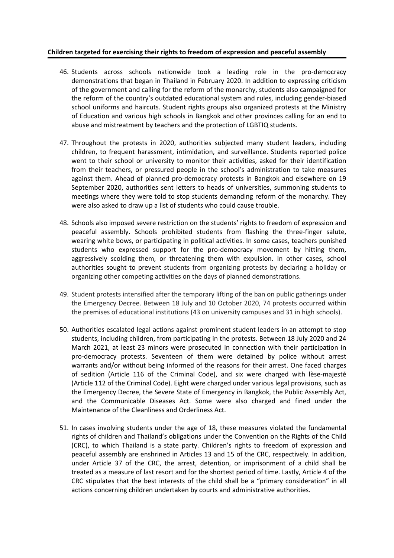# **Children targeted for exercising their rights to freedom of expression and peaceful assembly**

- 46. Students across schools nationwide took <sup>a</sup> leading role in the pro-democracy demonstrations that began in Thailand in February 2020. In addition to expressing criticism of the government and calling for the reform of the monarchy, students also campaigned for the reform of the country'<sup>s</sup> outdated educational system and rules, including gender-biased school uniforms and haircuts. Student rights groups also organized protests at the Ministry of Education and various high schools in Bangkok and other provinces calling for an end to abuse and mistreatment by teachers and the protection of LGBTIQ students.
- 47. Throughout the protests in 2020, authorities subjected many student leaders, including children, to frequent harassment, intimidation, and surveillance. Students reported police went to their school or university to monitor their activities, asked for their identification from their teachers, or pressured people in the school'<sup>s</sup> administration to take measures against them. Ahead of planned pro-democracy protests in Bangkok and elsewhere on 19 September 2020, authorities sent letters to heads of universities, summoning students to meetings where they were told to stop students demanding reform of the monarchy. They were also asked to draw up <sup>a</sup> list of students who could cause trouble.
- 48. Schools also imposed severe restriction on the students' rights to freedom of expression and peaceful assembly. Schools prohibited students from flashing the three-finger salute, wearing white bows, or participating in political activities. In some cases, teachers punished students who expressed support for the pro-democracy movement by hitting them, aggressively scolding them, or threatening them with expulsion. In other cases, school authorities sought to prevent students from organizing protests by declaring <sup>a</sup> holiday or organizing other competing activities on the days of planned demonstrations.
- 49. Student protests intensified after the temporary lifting of the ban on public gatherings under the Emergency Decree. Between 18 July and 10 October 2020, 74 protests occurred within the premises of educational institutions (43 on university campuses and 31 in high schools).
- 50. Authorities escalated legal actions against prominent student leaders in an attempt to stop students, including children, from participating in the protests. Between 18 July 2020 and 24 March 2021, at least 23 minors were prosecuted in connection with their participation in pro-democracy protests. Seventeen of them were detained by police without arrest warrants and/or without being informed of the reasons for their arrest. One faced charges of sedition (Article 116 of the Criminal Code), and six were charged with lèse-majesté (Article 112 of the Criminal Code). Eight were charged under various legal provisions, such as the Emergency Decree, the Severe State of Emergency in Bangkok, the Public Assembly Act, and the Communicable Diseases Act. Some were also charged and fined under the Maintenance of the Cleanliness and Orderliness Act.
- 51. In cases involving students under the age of 18, these measures violated the fundamental rights of children and Thailand'<sup>s</sup> obligations under the Convention on the Rights of the Child (CRC), to which Thailand is <sup>a</sup> state party. Children'<sup>s</sup> rights to freedom of expression and peaceful assembly are enshrined in Articles 13 and 15 of the CRC, respectively. In addition, under Article 37 of the CRC, the arrest, detention, or imprisonment of <sup>a</sup> child shall be treated as <sup>a</sup> measure of last resort and for the shortest period of time. Lastly, Article 4 of the CRC stipulates that the best interests of the child shall be <sup>a</sup> "primary consideration" in all actions concerning children undertaken by courts and administrative authorities.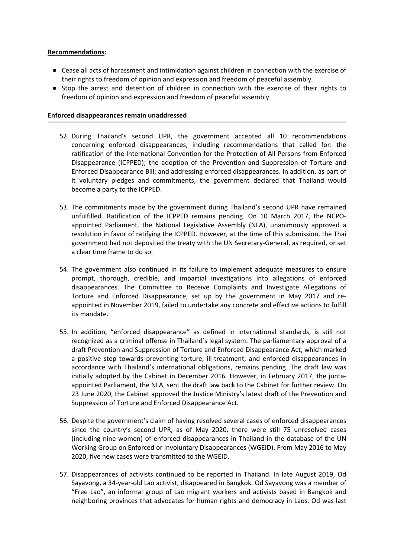# **Recommendations:**

- Cease all acts of harassment and intimidation against children in connection with the exercise of their rights to freedom of opinion and expression and freedom of peaceful assembly.
- Stop the arrest and detention of children in connection with the exercise of their rights to freedom of opinion and expression and freedom of peaceful assembly.

# **Enforced disappearances remain unaddressed**

- 52. During Thailand'<sup>s</sup> second UPR, the government accepted all 10 recommendations concerning enforced disappearances, including recommendations that called for: the ratification of the International Convention for the Protection of All Persons from Enforced Disappearance (ICPPED); the adoption of the Prevention and Suppression of Torture and Enforced Disappearance Bill; and addressing enforced disappearances. In addition, as part of it voluntary pledges and commitments, the government declared that Thailand would become <sup>a</sup> party to the ICPPED.
- 53. The commitments made by the government during Thailand'<sup>s</sup> second UPR have remained unfulfilled. Ratification of the ICPPED remains pending. On 10 March 2017, the NCPOappointed Parliament, the National Legislative Assembly (NLA), unanimously approved <sup>a</sup> resolution in favor of ratifying the ICPPED. However, at the time of this submission, the Thai government had not deposited the treaty with the UN Secretary-General, as required, or set <sup>a</sup> clear time frame to do so.
- 54. The government also continued in its failure to implement adequate measures to ensure prompt, thorough, credible, and impartial investigations into allegations of enforced disappearances. The Committee to Receive Complaints and Investigate Allegations of Torture and Enforced Disappearance, set up by the government in May 2017 and reappointed in November 2019, failed to undertake any concrete and effective actions to fulfill its mandate.
- 55. In addition, "enforced disappearance" as defined in international standards, is still not recognized as <sup>a</sup> criminal offense in Thailand'<sup>s</sup> legal system. The parliamentary approval of <sup>a</sup> draft Prevention and Suppression of Torture and Enforced Disappearance Act, which marked <sup>a</sup> positive step towards preventing torture, ill-treatment, and enforced disappearances in accordance with Thailand'<sup>s</sup> international obligations, remains pending. The draft law was initially adopted by the Cabinet in December 2016. However, in February 2017, the juntaappointed Parliament, the NLA, sent the draft law back to the Cabinet for further review. On 23 June 2020, the Cabinet approved the Justice Ministry'<sup>s</sup> latest draft of the Prevention and Suppression of Torture and Enforced Disappearance Act.
- 56. Despite the government'<sup>s</sup> claim of having resolved several cases of enforced disappearances since the country'<sup>s</sup> second UPR, as of May 2020, there were still 75 unresolved cases (including nine women) of enforced disappearances in Thailand in the database of the UN Working Group on Enforced or Involuntary Disappearances (WGEID). From May 2016 to May 2020, five new cases were transmitted to the WGEID.
- 57. Disappearances of activists continued to be reported in Thailand. In late August 2019, Od Sayavong, <sup>a</sup> 34-year-old Lao activist, disappeared in Bangkok. Od Sayavong was <sup>a</sup> member of "Free Lao", an informal group of Lao migrant workers and activists based in Bangkok and neighboring provinces that advocates for human rights and democracy in Laos. Od was last